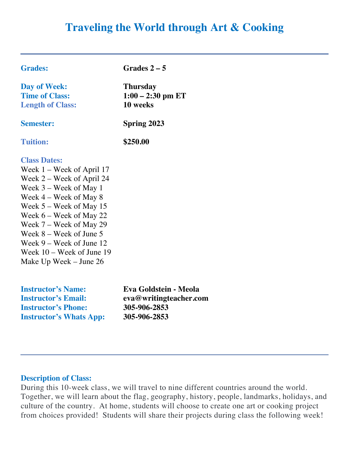# **Traveling the World through Art & Cooking**

| <b>Grades:</b>                                                                                                                                                                                                                                                                                                                                   | Grades $2-5$                                       |
|--------------------------------------------------------------------------------------------------------------------------------------------------------------------------------------------------------------------------------------------------------------------------------------------------------------------------------------------------|----------------------------------------------------|
| Day of Week:<br><b>Time of Class:</b><br><b>Length of Class:</b>                                                                                                                                                                                                                                                                                 | <b>Thursday</b><br>$1:00 - 2:30$ pm ET<br>10 weeks |
| <b>Semester:</b>                                                                                                                                                                                                                                                                                                                                 | Spring 2023                                        |
| <b>Tuition:</b>                                                                                                                                                                                                                                                                                                                                  | \$250.00                                           |
| <b>Class Dates:</b><br>Week $1 -$ Week of April 17<br>Week 2 – Week of April 24<br>Week $3$ – Week of May 1<br>Week $4$ – Week of May 8<br>Week $5 -$ Week of May 15<br>Week $6$ – Week of May 22<br>Week $7$ – Week of May 29<br>Week 8 – Week of June 5<br>Week $9 -$ Week of June 12<br>Week $10$ – Week of June 19<br>Make Up Week – June 26 |                                                    |
| <b>Instructor's Name:</b>                                                                                                                                                                                                                                                                                                                        | Eva Goldstein - Meola                              |

**Instructor's Email: eva@writingteacher.com Instructor's Phone: 305-906-2853 Instructor's Whats App: 305-906-2853**

#### **Description of Class:**

During this 10-week class, we will travel to nine different countries around the world. Together, we will learn about the flag, geography, history, people, landmarks, holidays, and culture of the country. At home, students will choose to create one art or cooking project from choices provided! Students will share their projects during class the following week!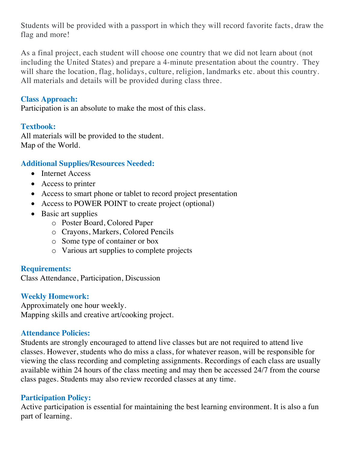Students will be provided with a passport in which they will record favorite facts, draw the flag and more!

As a final project, each student will choose one country that we did not learn about (not including the United States) and prepare a 4-minute presentation about the country. They will share the location, flag, holidays, culture, religion, landmarks etc. about this country. All materials and details will be provided during class three.

## **Class Approach:**

Participation is an absolute to make the most of this class.

## **Textbook:**

All materials will be provided to the student. Map of the World.

## **Additional Supplies/Resources Needed:**

- Internet Access
- Access to printer
- Access to smart phone or tablet to record project presentation
- Access to POWER POINT to create project (optional)
- Basic art supplies
	- o Poster Board, Colored Paper
	- o Crayons, Markers, Colored Pencils
	- o Some type of container or box
	- o Various art supplies to complete projects

#### **Requirements:**

Class Attendance, Participation, Discussion

## **Weekly Homework:**

Approximately one hour weekly. Mapping skills and creative art/cooking project.

#### **Attendance Policies:**

Students are strongly encouraged to attend live classes but are not required to attend live classes. However, students who do miss a class, for whatever reason, will be responsible for viewing the class recording and completing assignments. Recordings of each class are usually available within 24 hours of the class meeting and may then be accessed 24/7 from the course class pages. Students may also review recorded classes at any time.

#### **Participation Policy:**

Active participation is essential for maintaining the best learning environment. It is also a fun part of learning.